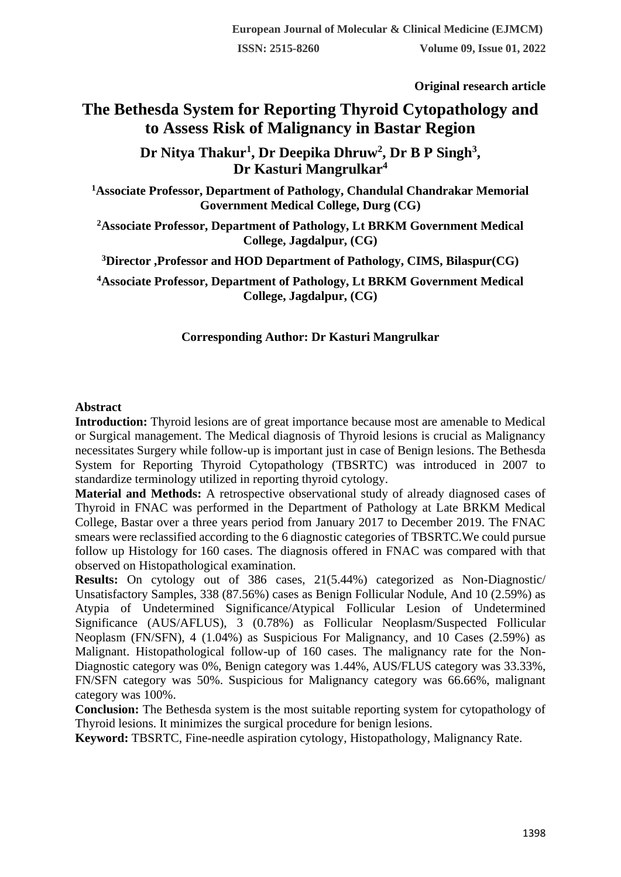**Original research article** 

# **The Bethesda System for Reporting Thyroid Cytopathology and to Assess Risk of Malignancy in Bastar Region**

**Dr Nitya Thakur<sup>1</sup> , Dr Deepika Dhruw<sup>2</sup> , Dr B P Singh<sup>3</sup> , Dr Kasturi Mangrulkar<sup>4</sup>**

**<sup>1</sup>Associate Professor, Department of Pathology, Chandulal Chandrakar Memorial Government Medical College, Durg (CG)**

**<sup>2</sup>Associate Professor, Department of Pathology, Lt BRKM Government Medical College, Jagdalpur, (CG)**

**<sup>3</sup>Director ,Professor and HOD Department of Pathology, CIMS, Bilaspur(CG)**

**<sup>4</sup>Associate Professor, Department of Pathology, Lt BRKM Government Medical College, Jagdalpur, (CG)**

### **Corresponding Author: Dr Kasturi Mangrulkar**

### **Abstract**

**Introduction:** Thyroid lesions are of great importance because most are amenable to Medical or Surgical management. The Medical diagnosis of Thyroid lesions is crucial as Malignancy necessitates Surgery while follow-up is important just in case of Benign lesions. The Bethesda System for Reporting Thyroid Cytopathology (TBSRTC) was introduced in 2007 to standardize terminology utilized in reporting thyroid cytology.

**Material and Methods:** A retrospective observational study of already diagnosed cases of Thyroid in FNAC was performed in the Department of Pathology at Late BRKM Medical College, Bastar over a three years period from January 2017 to December 2019. The FNAC smears were reclassified according to the 6 diagnostic categories of TBSRTC.We could pursue follow up Histology for 160 cases. The diagnosis offered in FNAC was compared with that observed on Histopathological examination.

**Results:** On cytology out of 386 cases, 21(5.44%) categorized as Non-Diagnostic/ Unsatisfactory Samples, 338 (87.56%) cases as Benign Follicular Nodule, And 10 (2.59%) as Atypia of Undetermined Significance/Atypical Follicular Lesion of Undetermined Significance (AUS/AFLUS), 3 (0.78%) as Follicular Neoplasm/Suspected Follicular Neoplasm (FN/SFN), 4 (1.04%) as Suspicious For Malignancy, and 10 Cases (2.59%) as Malignant. Histopathological follow-up of 160 cases. The malignancy rate for the Non-Diagnostic category was 0%, Benign category was 1.44%, AUS/FLUS category was 33.33%, FN/SFN category was 50%. Suspicious for Malignancy category was 66.66%, malignant category was 100%.

**Conclusion:** The Bethesda system is the most suitable reporting system for cytopathology of Thyroid lesions. It minimizes the surgical procedure for benign lesions.

**Keyword:** TBSRTC, Fine-needle aspiration cytology, Histopathology, Malignancy Rate.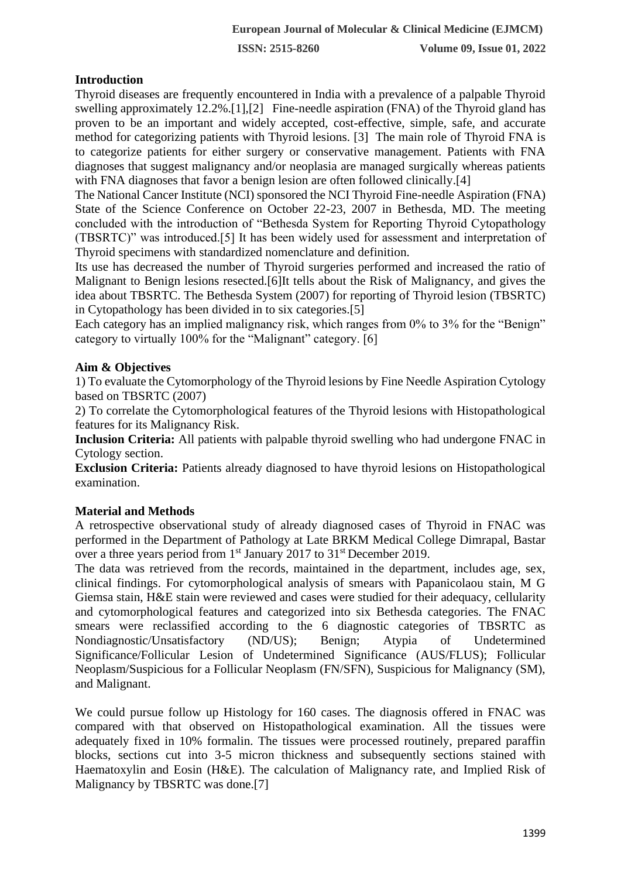**ISSN: 2515-8260 Volume 09, Issue 01, 2022**

### **Introduction**

Thyroid diseases are frequently encountered in India with a prevalence of a palpable Thyroid swelling approximately 12.2%.[1],[2] Fine-needle aspiration (FNA) of the Thyroid gland has proven to be an important and widely accepted, cost-effective, simple, safe, and accurate method for categorizing patients with Thyroid lesions. [3] The main role of Thyroid FNA is to categorize patients for either surgery or conservative management. Patients with FNA diagnoses that suggest malignancy and/or neoplasia are managed surgically whereas patients with FNA diagnoses that favor a benign lesion are often followed clinically.<sup>[4]</sup>

The National Cancer Institute (NCI) sponsored the NCI Thyroid Fine-needle Aspiration (FNA) State of the Science Conference on October 22-23, 2007 in Bethesda, MD. The meeting concluded with the introduction of "Bethesda System for Reporting Thyroid Cytopathology (TBSRTC)" was introduced.[5] It has been widely used for assessment and interpretation of Thyroid specimens with standardized nomenclature and definition.

Its use has decreased the number of Thyroid surgeries performed and increased the ratio of Malignant to Benign lesions resected.[6]It tells about the Risk of Malignancy, and gives the idea about TBSRTC. The Bethesda System (2007) for reporting of Thyroid lesion (TBSRTC) in Cytopathology has been divided in to six categories.[5]

Each category has an implied malignancy risk, which ranges from 0% to 3% for the "Benign" category to virtually 100% for the "Malignant" category. [6]

### **Aim & Objectives**

1) To evaluate the Cytomorphology of the Thyroid lesions by Fine Needle Aspiration Cytology based on TBSRTC (2007)

2) To correlate the Cytomorphological features of the Thyroid lesions with Histopathological features for its Malignancy Risk.

**Inclusion Criteria:** All patients with palpable thyroid swelling who had undergone FNAC in Cytology section.

**Exclusion Criteria:** Patients already diagnosed to have thyroid lesions on Histopathological examination.

#### **Material and Methods**

A retrospective observational study of already diagnosed cases of Thyroid in FNAC was performed in the Department of Pathology at Late BRKM Medical College Dimrapal, Bastar over a three years period from 1<sup>st</sup> January 2017 to 31<sup>st</sup> December 2019.

The data was retrieved from the records, maintained in the department, includes age, sex, clinical findings. For cytomorphological analysis of smears with Papanicolaou stain, M G Giemsa stain, H&E stain were reviewed and cases were studied for their adequacy, cellularity and cytomorphological features and categorized into six Bethesda categories. The FNAC smears were reclassified according to the 6 diagnostic categories of TBSRTC as Nondiagnostic/Unsatisfactory (ND/US); Benign; Atypia of Undetermined Significance/Follicular Lesion of Undetermined Significance (AUS/FLUS); Follicular Neoplasm/Suspicious for a Follicular Neoplasm (FN/SFN), Suspicious for Malignancy (SM), and Malignant.

We could pursue follow up Histology for 160 cases. The diagnosis offered in FNAC was compared with that observed on Histopathological examination. All the tissues were adequately fixed in 10% formalin. The tissues were processed routinely, prepared paraffin blocks, sections cut into 3-5 micron thickness and subsequently sections stained with Haematoxylin and Eosin (H&E). The calculation of Malignancy rate, and Implied Risk of Malignancy by TBSRTC was done.<sup>[7]</sup>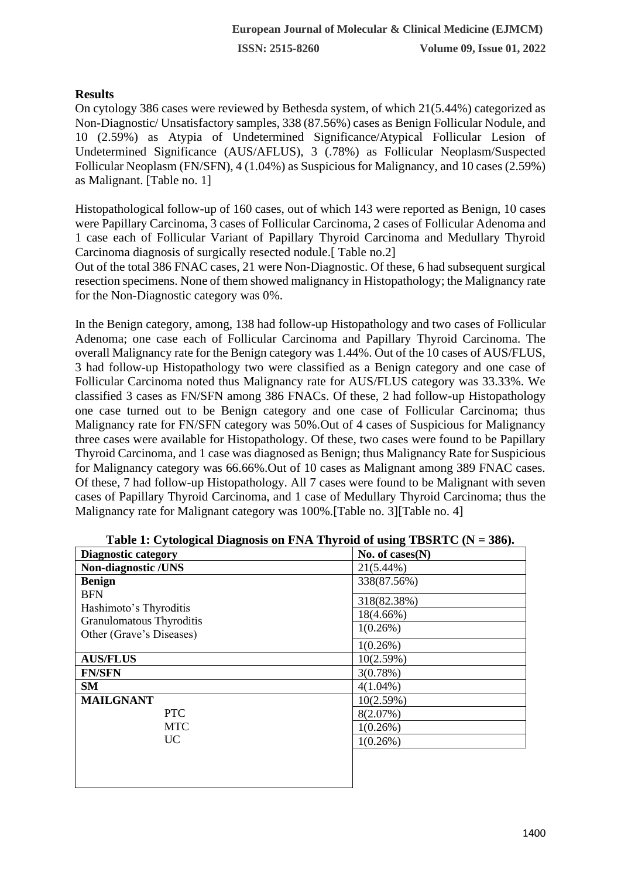### **Results**

On cytology 386 cases were reviewed by Bethesda system, of which 21(5.44%) categorized as Non-Diagnostic/ Unsatisfactory samples, 338 (87.56%) cases as Benign Follicular Nodule, and 10 (2.59%) as Atypia of Undetermined Significance/Atypical Follicular Lesion of Undetermined Significance (AUS/AFLUS), 3 (.78%) as Follicular Neoplasm/Suspected Follicular Neoplasm (FN/SFN), 4 (1.04%) as Suspicious for Malignancy, and 10 cases (2.59%) as Malignant. [Table no. 1]

Histopathological follow-up of 160 cases, out of which 143 were reported as Benign, 10 cases were Papillary Carcinoma, 3 cases of Follicular Carcinoma, 2 cases of Follicular Adenoma and 1 case each of Follicular Variant of Papillary Thyroid Carcinoma and Medullary Thyroid Carcinoma diagnosis of surgically resected nodule.[ Table no.2]

Out of the total 386 FNAC cases, 21 were Non-Diagnostic. Of these, 6 had subsequent surgical resection specimens. None of them showed malignancy in Histopathology; the Malignancy rate for the Non-Diagnostic category was 0%.

In the Benign category, among, 138 had follow-up Histopathology and two cases of Follicular Adenoma; one case each of Follicular Carcinoma and Papillary Thyroid Carcinoma. The overall Malignancy rate for the Benign category was 1.44%. Out of the 10 cases of AUS/FLUS, 3 had follow-up Histopathology two were classified as a Benign category and one case of Follicular Carcinoma noted thus Malignancy rate for AUS/FLUS category was 33.33%. We classified 3 cases as FN/SFN among 386 FNACs. Of these, 2 had follow-up Histopathology one case turned out to be Benign category and one case of Follicular Carcinoma; thus Malignancy rate for FN/SFN category was 50%.Out of 4 cases of Suspicious for Malignancy three cases were available for Histopathology. Of these, two cases were found to be Papillary Thyroid Carcinoma, and 1 case was diagnosed as Benign; thus Malignancy Rate for Suspicious for Malignancy category was 66.66%.Out of 10 cases as Malignant among 389 FNAC cases. Of these, 7 had follow-up Histopathology. All 7 cases were found to be Malignant with seven cases of Papillary Thyroid Carcinoma, and 1 case of Medullary Thyroid Carcinoma; thus the Malignancy rate for Malignant category was 100%. [Table no. 3] [Table no. 4]

| $\sim$ $\sim$ $\sim$<br><b>Diagnostic category</b> | 0<br>No. of $cases(N)$ |
|----------------------------------------------------|------------------------|
| <b>Non-diagnostic /UNS</b>                         | $21(5.44\%)$           |
| <b>Benign</b>                                      | 338(87.56%)            |
| <b>BFN</b><br>Hashimoto's Thyroditis               | 318(82.38%)            |
| Granulomatous Thyroditis                           | $18(4.66\%)$           |
| Other (Grave's Diseases)                           | 1(0.26%)               |
|                                                    | $1(0.26\%)$            |
| <b>AUS/FLUS</b>                                    | 10(2.59%)              |
| <b>FN/SFN</b>                                      | 3(0.78%)               |
| <b>SM</b>                                          | $4(1.04\%)$            |
| <b>MAILGNANT</b>                                   | 10(2.59%)              |
| <b>PTC</b>                                         | 8(2.07%)               |
| <b>MTC</b>                                         | $1(0.26\%)$            |
| <b>UC</b>                                          | $1(0.26\%)$            |
|                                                    |                        |
|                                                    |                        |
|                                                    |                        |

|  | Table 1: Cytological Diagnosis on FNA Thyroid of using TBSRTC $(N = 386)$ . |  |  |
|--|-----------------------------------------------------------------------------|--|--|
|  |                                                                             |  |  |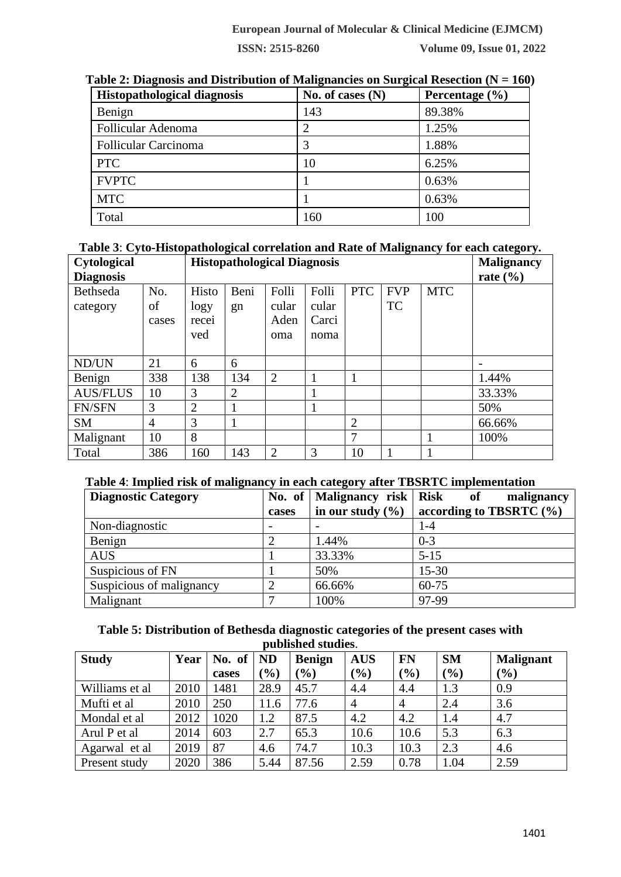**ISSN: 2515-8260 Volume 09, Issue 01, 2022**

| <b>Histopathological diagnosis</b> | No. of cases $(N)$ | Percentage $(\% )$ |
|------------------------------------|--------------------|--------------------|
| Benign                             | 143                | 89.38%             |
| Follicular Adenoma                 |                    | 1.25%              |
| <b>Follicular Carcinoma</b>        | 3                  | 1.88%              |
| <b>PTC</b>                         | 10                 | 6.25%              |
| <b>FVPTC</b>                       |                    | 0.63%              |
| <b>MTC</b>                         |                    | 0.63%              |
| Total                              | 160                | 100                |

| Table 2: Diagnosis and Distribution of Malignancies on Surgical Resection ( $N = 160$ ) |  |  |  |
|-----------------------------------------------------------------------------------------|--|--|--|
|                                                                                         |  |  |  |

### **Table 3**: **Cyto-Histopathological correlation and Rate of Malignancy for each category.**

| Cytological<br><b>Diagnosis</b> | <b>Histopathological Diagnosis</b> |                               |                |                               |                                 |                | - <del>. .</del> -<br><b>Malignancy</b><br>rate $(\% )$ |            |        |
|---------------------------------|------------------------------------|-------------------------------|----------------|-------------------------------|---------------------------------|----------------|---------------------------------------------------------|------------|--------|
| Bethseda<br>category            | No.<br>of<br>cases                 | Histo<br>logy<br>recei<br>ved | Beni<br>gn     | Folli<br>cular<br>Aden<br>oma | Folli<br>cular<br>Carci<br>noma | <b>PTC</b>     | <b>FVP</b><br><b>TC</b>                                 | <b>MTC</b> |        |
| ND/UN                           | 21                                 | 6                             | 6              |                               |                                 |                |                                                         |            |        |
| Benign                          | 338                                | 138                           | 134            | $\overline{2}$                |                                 |                |                                                         |            | 1.44%  |
| <b>AUS/FLUS</b>                 | 10                                 | 3                             | $\overline{2}$ |                               |                                 |                |                                                         |            | 33.33% |
| <b>FN/SFN</b>                   | 3                                  | $\overline{2}$                |                |                               |                                 |                |                                                         |            | 50%    |
| <b>SM</b>                       | $\overline{4}$                     | 3                             |                |                               |                                 | $\overline{2}$ |                                                         |            | 66.66% |
| Malignant                       | 10                                 | 8                             |                |                               |                                 | 7              |                                                         |            | 100%   |
| Total                           | 386                                | 160                           | 143            | $\overline{2}$                | 3                               | 10             |                                                         |            |        |

## **Table 4**: **Implied risk of malignancy in each category after TBSRTC implementation**

| <b>Diagnostic Category</b> |                          | No. of   Malignancy risk   Risk | $\bf{of}$<br>malignancy     |
|----------------------------|--------------------------|---------------------------------|-----------------------------|
|                            | cases                    | in our study $(\% )$            | according to TBSRTC $(\% )$ |
| Non-diagnostic             | $\overline{\phantom{0}}$ |                                 | 1-4                         |
| Benign                     |                          | 1.44%                           | $0 - 3$                     |
| <b>AUS</b>                 |                          | 33.33%                          | $5 - 15$                    |
| Suspicious of FN           |                          | 50%                             | $15 - 30$                   |
| Suspicious of malignancy   | っ                        | 66.66%                          | 60-75                       |
| Malignant                  |                          | 100%                            | 97-99                       |

#### **Table 5: Distribution of Bethesda diagnostic categories of the present cases with published studies**.

| раршлоа эсамгер. |      |        |           |               |                |                |           |                  |  |  |
|------------------|------|--------|-----------|---------------|----------------|----------------|-----------|------------------|--|--|
| <b>Study</b>     | Year | No. of | <b>ND</b> | <b>Benign</b> | <b>AUS</b>     | <b>FN</b>      | <b>SM</b> | <b>Malignant</b> |  |  |
|                  |      | cases  | $(\%)$    | $\frac{6}{6}$ | $(\%)$         | (9/0)          | (%)       | $(\%)$           |  |  |
| Williams et al   | 2010 | 1481   | 28.9      | 45.7          | 4.4            | 4.4            | 1.3       | 0.9              |  |  |
| Mufti et al      | 2010 | 250    | 11.6      | 77.6          | $\overline{4}$ | $\overline{4}$ | 2.4       | 3.6              |  |  |
| Mondal et al     | 2012 | 1020   | 1.2       | 87.5          | 4.2            | 4.2            | 1.4       | 4.7              |  |  |
| Arul P et al     | 2014 | 603    | 2.7       | 65.3          | 10.6           | 10.6           | 5.3       | 6.3              |  |  |
| Agarwal et al    | 2019 | 87     | 4.6       | 74.7          | 10.3           | 10.3           | 2.3       | 4.6              |  |  |
| Present study    | 2020 | 386    | 5.44      | 87.56         | 2.59           | 0.78           | 1.04      | 2.59             |  |  |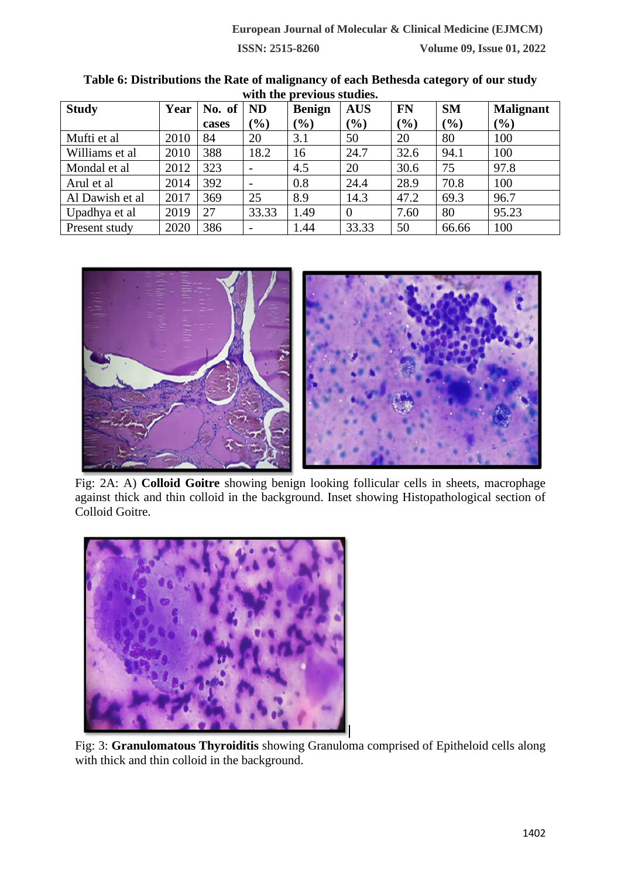| with the brevious studies. |      |        |                          |               |            |           |           |                  |  |  |
|----------------------------|------|--------|--------------------------|---------------|------------|-----------|-----------|------------------|--|--|
| <b>Study</b>               | Year | No. of | <b>ND</b>                | <b>Benign</b> | <b>AUS</b> | <b>FN</b> | <b>SM</b> | <b>Malignant</b> |  |  |
|                            |      | cases  | $\frac{9}{0}$            | $(\%)$        | (%)        | $(\%)$    | (%)       | (%)              |  |  |
| Mufti et al                | 2010 | 84     | 20                       | 3.1           | 50         | 20        | 80        | 100              |  |  |
| Williams et al             | 2010 | 388    | 18.2                     | 16            | 24.7       | 32.6      | 94.1      | 100              |  |  |
| Mondal et al               | 2012 | 323    | $\overline{\phantom{a}}$ | 4.5           | 20         | 30.6      | 75        | 97.8             |  |  |
| Arul et al                 | 2014 | 392    | -                        | 0.8           | 24.4       | 28.9      | 70.8      | 100              |  |  |
| Al Dawish et al            | 2017 | 369    | 25                       | 8.9           | 14.3       | 47.2      | 69.3      | 96.7             |  |  |
| Upadhya et al              | 2019 | 27     | 33.33                    | 1.49          | $\theta$   | 7.60      | 80        | 95.23            |  |  |
| Present study              | 2020 | 386    | $\overline{\phantom{a}}$ | 1.44          | 33.33      | 50        | 66.66     | 100              |  |  |

**Table 6: Distributions the Rate of malignancy of each Bethesda category of our study with the previous studies.**



Fig: 2A: A) **Colloid Goitre** showing benign looking follicular cells in sheets, macrophage against thick and thin colloid in the background. Inset showing Histopathological section of Colloid Goitre.



Fig: 3: **Granulomatous Thyroiditis** showing Granuloma comprised of Epitheloid cells along with thick and thin colloid in the background.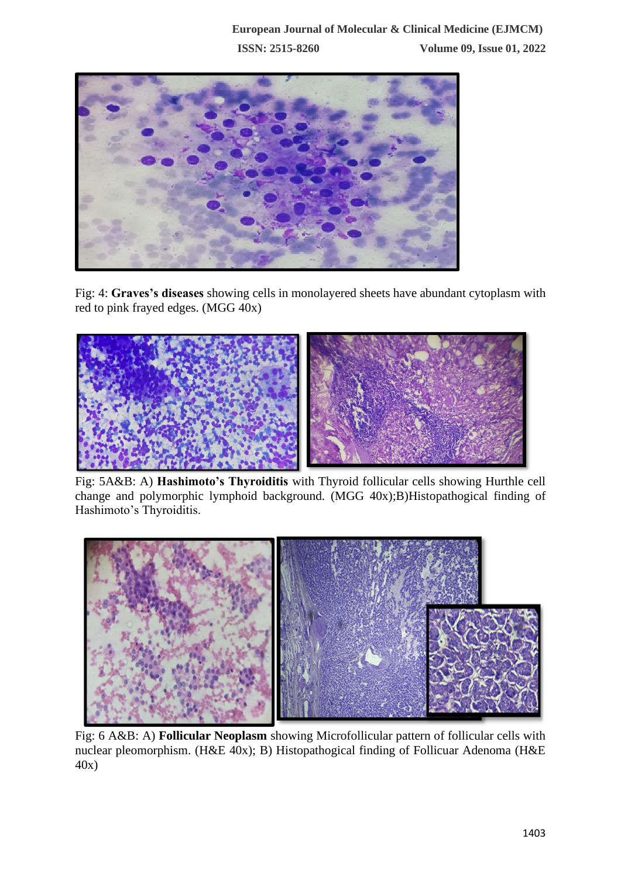

Fig: 4: **Graves's diseases** showing cells in monolayered sheets have abundant cytoplasm with red to pink frayed edges. (MGG 40x)



Fig: 5A&B: A) **Hashimoto's Thyroiditis** with Thyroid follicular cells showing Hurthle cell change and polymorphic lymphoid background. (MGG 40x);B)Histopathogical finding of Hashimoto's Thyroiditis.



Fig: 6 A&B: A) **Follicular Neoplasm** showing Microfollicular pattern of follicular cells with nuclear pleomorphism. (H&E 40x); B) Histopathogical finding of Follicuar Adenoma (H&E 40x)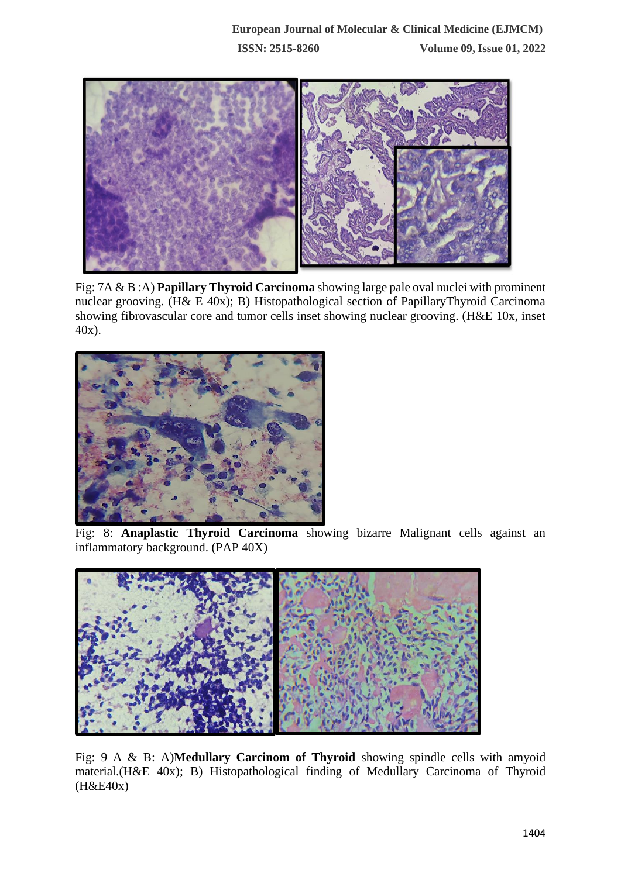

Fig: 7A & B :A) **Papillary Thyroid Carcinoma** showing large pale oval nuclei with prominent nuclear grooving. (H& E 40x); B) Histopathological section of PapillaryThyroid Carcinoma showing fibrovascular core and tumor cells inset showing nuclear grooving. (H&E 10x, inset 40x).



Fig: 8: **Anaplastic Thyroid Carcinoma** showing bizarre Malignant cells against an inflammatory background. (PAP 40X)



Fig: 9 A & B: A)**Medullary Carcinom of Thyroid** showing spindle cells with amyoid material.(H&E 40x); B) Histopathological finding of Medullary Carcinoma of Thyroid (H&E40x)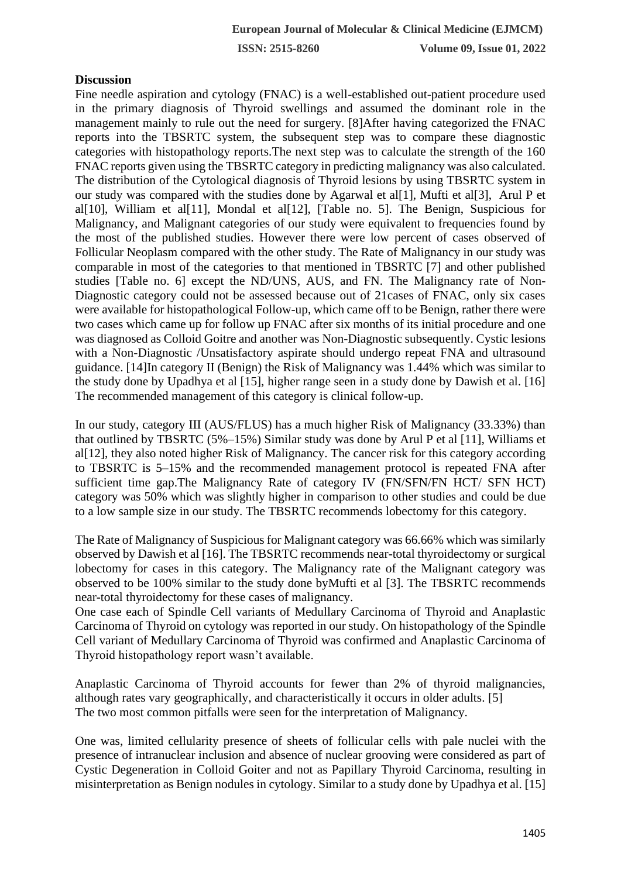### **Discussion**

Fine needle aspiration and cytology (FNAC) is a well-established out-patient procedure used in the primary diagnosis of Thyroid swellings and assumed the dominant role in the management mainly to rule out the need for surgery. [8]After having categorized the FNAC reports into the TBSRTC system, the subsequent step was to compare these diagnostic categories with histopathology reports.The next step was to calculate the strength of the 160 FNAC reports given using the TBSRTC category in predicting malignancy was also calculated. The distribution of the Cytological diagnosis of Thyroid lesions by using TBSRTC system in our study was compared with the studies done by Agarwal et al[1], Mufti et al[3], Arul P et al[10], William et al[11], Mondal et al[12], [Table no. 5]. The Benign, Suspicious for Malignancy, and Malignant categories of our study were equivalent to frequencies found by the most of the published studies. However there were low percent of cases observed of Follicular Neoplasm compared with the other study. The Rate of Malignancy in our study was comparable in most of the categories to that mentioned in TBSRTC [7] and other published studies [Table no. 6] except the ND/UNS, AUS, and FN. The Malignancy rate of Non-Diagnostic category could not be assessed because out of 21cases of FNAC, only six cases were available for histopathological Follow-up, which came off to be Benign, rather there were two cases which came up for follow up FNAC after six months of its initial procedure and one was diagnosed as Colloid Goitre and another was Non-Diagnostic subsequently. Cystic lesions with a Non-Diagnostic /Unsatisfactory aspirate should undergo repeat FNA and ultrasound guidance. [14]In category II (Benign) the Risk of Malignancy was 1.44% which was similar to the study done by Upadhya et al [15], higher range seen in a study done by Dawish et al. [16] The recommended management of this category is clinical follow-up.

In our study, category III (AUS/FLUS) has a much higher Risk of Malignancy (33.33%) than that outlined by TBSRTC (5%–15%) Similar study was done by Arul P et al [11], Williams et al[12], they also noted higher Risk of Malignancy. The cancer risk for this category according to TBSRTC is 5–15% and the recommended management protocol is repeated FNA after sufficient time gap.The Malignancy Rate of category IV (FN/SFN/FN HCT/ SFN HCT) category was 50% which was slightly higher in comparison to other studies and could be due to a low sample size in our study. The TBSRTC recommends lobectomy for this category.

The Rate of Malignancy of Suspicious for Malignant category was 66.66% which was similarly observed by Dawish et al [16]. The TBSRTC recommends near-total thyroidectomy or surgical lobectomy for cases in this category. The Malignancy rate of the Malignant category was observed to be 100% similar to the study done byMufti et al [3]. The TBSRTC recommends near-total thyroidectomy for these cases of malignancy.

One case each of Spindle Cell variants of Medullary Carcinoma of Thyroid and Anaplastic Carcinoma of Thyroid on cytology was reported in our study. On histopathology of the Spindle Cell variant of Medullary Carcinoma of Thyroid was confirmed and Anaplastic Carcinoma of Thyroid histopathology report wasn't available.

Anaplastic Carcinoma of Thyroid accounts for fewer than 2% of thyroid malignancies, although rates vary geographically, and characteristically it occurs in older adults. [5] The two most common pitfalls were seen for the interpretation of Malignancy.

One was, limited cellularity presence of sheets of follicular cells with pale nuclei with the presence of intranuclear inclusion and absence of nuclear grooving were considered as part of Cystic Degeneration in Colloid Goiter and not as Papillary Thyroid Carcinoma, resulting in misinterpretation as Benign nodules in cytology. Similar to a study done by Upadhya et al. [15]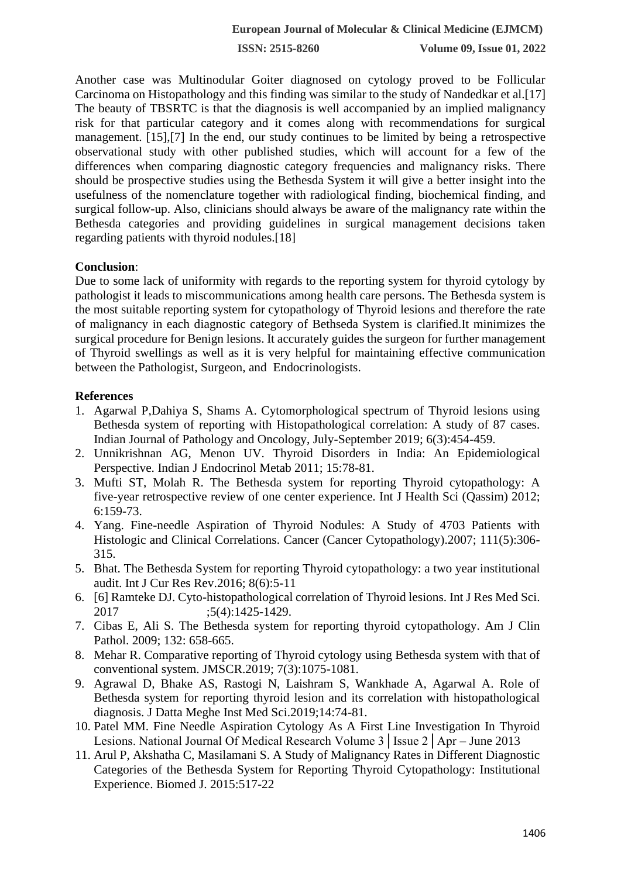**ISSN: 2515-8260 Volume 09, Issue 01, 2022**

Another case was Multinodular Goiter diagnosed on cytology proved to be Follicular Carcinoma on Histopathology and this finding was similar to the study of Nandedkar et al.[17] The beauty of TBSRTC is that the diagnosis is well accompanied by an implied malignancy risk for that particular category and it comes along with recommendations for surgical management. [15],[7] In the end, our study continues to be limited by being a retrospective observational study with other published studies, which will account for a few of the differences when comparing diagnostic category frequencies and malignancy risks. There should be prospective studies using the Bethesda System it will give a better insight into the usefulness of the nomenclature together with radiological finding, biochemical finding, and surgical follow-up. Also, clinicians should always be aware of the malignancy rate within the Bethesda categories and providing guidelines in surgical management decisions taken regarding patients with thyroid nodules.[18]

### **Conclusion**:

Due to some lack of uniformity with regards to the reporting system for thyroid cytology by pathologist it leads to miscommunications among health care persons. The Bethesda system is the most suitable reporting system for cytopathology of Thyroid lesions and therefore the rate of malignancy in each diagnostic category of Bethseda System is clarified.It minimizes the surgical procedure for Benign lesions. It accurately guides the surgeon for further management of Thyroid swellings as well as it is very helpful for maintaining effective communication between the Pathologist, Surgeon, and Endocrinologists.

### **References**

- 1. Agarwal P,Dahiya S, Shams A. Cytomorphological spectrum of Thyroid lesions using Bethesda system of reporting with Histopathological correlation: A study of 87 cases. Indian Journal of Pathology and Oncology, July-September 2019; 6(3):454-459.
- 2. Unnikrishnan AG, Menon UV. Thyroid Disorders in India: An Epidemiological Perspective. Indian J Endocrinol Metab 2011; 15:78-81.
- 3. Mufti ST, Molah R. The Bethesda system for reporting Thyroid cytopathology: A five-year retrospective review of one center experience. Int J Health Sci (Qassim) 2012; 6:159-73.
- 4. Yang. Fine-needle Aspiration of Thyroid Nodules: A Study of 4703 Patients with Histologic and Clinical Correlations. Cancer (Cancer Cytopathology).2007; 111(5):306- 315.
- 5. Bhat. The Bethesda System for reporting Thyroid cytopathology: a two year institutional audit. Int J Cur Res Rev.2016; 8(6):5-11
- 6. [6] Ramteke DJ. Cyto-histopathological correlation of Thyroid lesions. Int J Res Med Sci. 2017 ;5(4):1425-1429.
- 7. Cibas E, Ali S. The Bethesda system for reporting thyroid cytopathology. Am J Clin Pathol. 2009; 132: 658-665.
- 8. Mehar R. Comparative reporting of Thyroid cytology using Bethesda system with that of conventional system. JMSCR.2019; 7(3):1075-1081.
- 9. Agrawal D, Bhake AS, Rastogi N, Laishram S, Wankhade A, Agarwal A. Role of Bethesda system for reporting thyroid lesion and its correlation with histopathological diagnosis. J Datta Meghe Inst Med Sci.2019;14:74-81.
- 10. Patel MM. Fine Needle Aspiration Cytology As A First Line Investigation In Thyroid Lesions. National Journal Of Medical Research Volume 3│Issue 2│Apr – June 2013
- 11. Arul P, Akshatha C, Masilamani S. A Study of Malignancy Rates in Different Diagnostic Categories of the Bethesda System for Reporting Thyroid Cytopathology: Institutional Experience. Biomed J. 2015:517-22